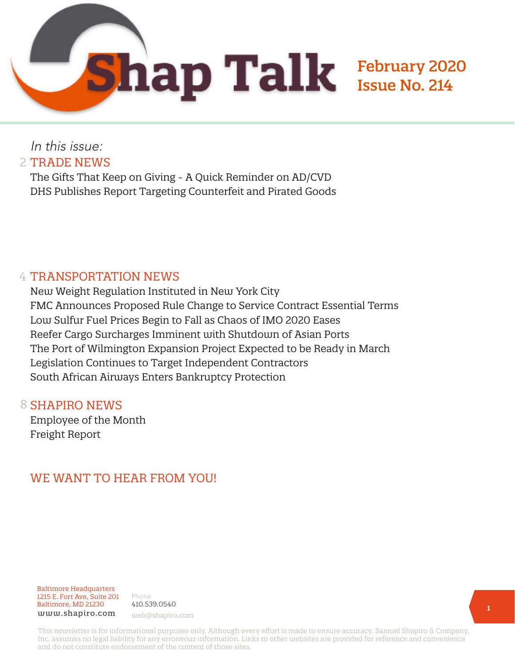

In this issue: 2 TRADE NEWS

The Gifts That Keep on Giving - A Quick Reminder on AD/CVD DHS Publishes Report Targeting Counterfeit and Pirated Goods

## 4 TRANSPORTATION NEWS

New Weight Regulation Instituted in New York City FMC Announces Proposed Rule Change to Service Contract Essential Terms Low Sulfur Fuel Prices Begin to Fall as Chaos of IMO 2020 Eases Reefer Cargo Surcharges Imminent with Shutdown of Asian Ports The Port of Wilmington Expansion Project Expected to be Ready in March Legislation Continues to Target Independent Contractors South African Airways Enters Bankruptcy Protection

## 8 SHAPIRO NEWS

Employee of the Month Freight Report

# WE WANT TO HEAR FROM YOU!

Baltimore Headquarters 1215 E. Fort Ave, Suite 201 Baltimore, MD 21230 www.shapiro.com web@shapiro.com

Phone 410.539.0540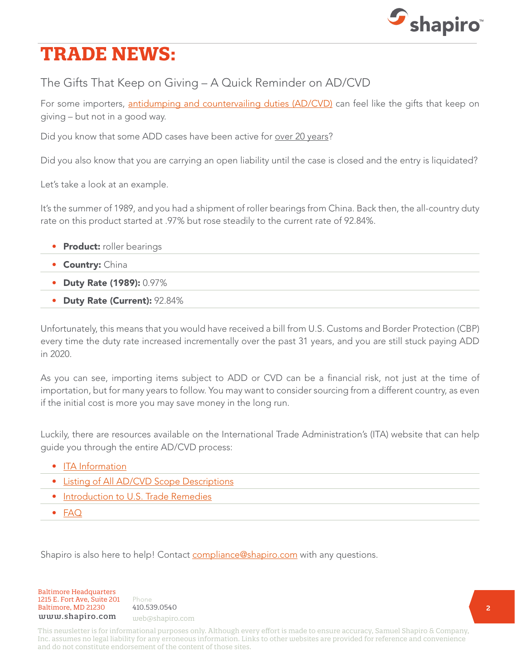

# **TRADE NEWS:**

The Gifts That Keep on Giving – A Quick Reminder on AD/CVD

For some importers, [antidumping and countervailing duties \(AD/CVD\)](https://www.shapiro.com/resources/common-terminology-customs-entry-3/) can feel like the gifts that keep on giving – but not in a good way.

Did you know that some ADD cases have been active for over 20 years?

Did you also know that you are carrying an open liability until the case is closed and the entry is liquidated?

Let's take a look at an example.

It's the summer of 1989, and you had a shipment of roller bearings from China. Back then, the all-country duty rate on this product started at .97% but rose steadily to the current rate of 92.84%.

- Product: roller bearings
- Country: China
- Duty Rate (1989): 0.97%
- Duty Rate (Current): 92.84%

Unfortunately, this means that you would have received a bill from U.S. Customs and Border Protection (CBP) every time the duty rate increased incrementally over the past 31 years, and you are still stuck paying ADD in 2020.

As you can see, importing items subject to ADD or CVD can be a financial risk, not just at the time of importation, but for many years to follow. You may want to consider sourcing from a different country, as even if the initial cost is more you may save money in the long run.

Luckily, there are resources available on the International Trade Administration's (ITA) website that can help guide you through the entire AD/CVD process:

- [ITA Information](https://legacy.trade.gov/ia/?utm_source=search.usa.gov&utm_medium=search.usa.gov&utm_term=undefined&utm_content=undefined&utm_campaign=(not%20set)&gclid=undefined&dclid=undefined&GAID=927010298.1456160690)
- [Listing of All AD/CVD Scope Descriptions](http://web.ita.doc.gov/ia/CaseM.nsf/136bb350f9b3efba852570d9004ce782?OpenView)
- [Introduction to U.S. Trade Remedies](https://enforcement.trade.gov/intro/index.html)
- [FAQ](https://www.cbp.gov/trade/priority-issues/adcvd/antidumping-and-countervailing-duties-adcvd-frequently-asked-questions)

Shapiro is also here to help! Contact [compliance@shapiro.com](mailto:compliance%40shapiro.com?subject=) with any questions.

Baltimore Headquarters 1215 E. Fort Ave, Suite 201 Baltimore, MD 21230 410.539.0540 www.shapiro.com web@shapiro.com

Phone the set of the set of the set of the set of the set of the set of the set of the set of the set of the s 410.539.0540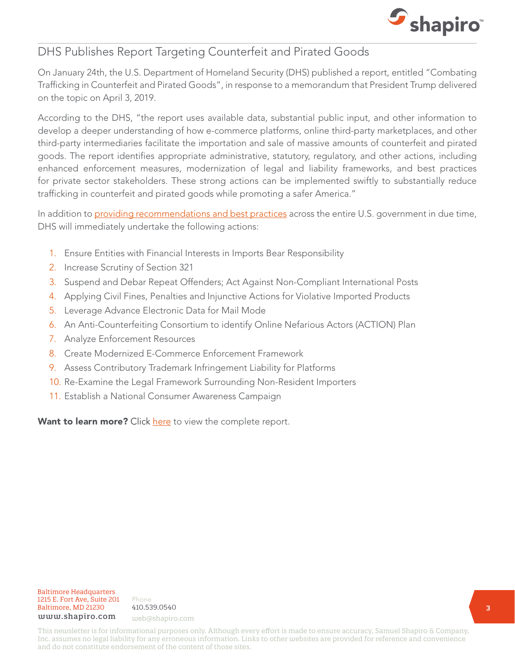

## DHS Publishes Report Targeting Counterfeit and Pirated Goods

On January 24th, the U.S. Department of Homeland Security (DHS) published a report, entitled "Combating Trafficking in Counterfeit and Pirated Goods", in response to a memorandum that President Trump delivered on the topic on April 3, 2019.

According to the DHS, "the report uses available data, substantial public input, and other information to develop a deeper understanding of how e-commerce platforms, online third-party marketplaces, and other third-party intermediaries facilitate the importation and sale of massive amounts of counterfeit and pirated goods. The report identifies appropriate administrative, statutory, regulatory, and other actions, including enhanced enforcement measures, modernization of legal and liability frameworks, and best practices for private sector stakeholders. These strong actions can be implemented swiftly to substantially reduce trafficking in counterfeit and pirated goods while promoting a safer America."

In addition to [providing recommendations and best practices](https://www.shapiro.com/newsletters/january-2020-issue-213/#st-3) across the entire U.S. government in due time, DHS will immediately undertake the following actions:

- 1. Ensure Entities with Financial Interests in Imports Bear Responsibility
- 2. Increase Scrutiny of Section 321
- 3. Suspend and Debar Repeat Offenders; Act Against Non-Compliant International Posts
- 4. Applying Civil Fines, Penalties and Injunctive Actions for Violative Imported Products
- 5. Leverage Advance Electronic Data for Mail Mode
- 6. An Anti-Counterfeiting Consortium to identify Online Nefarious Actors (ACTION) Plan
- 7. Analyze Enforcement Resources
- 8. Create Modernized E-Commerce Enforcement Framework
- 9. Assess Contributory Trademark Infringement Liability for Platforms
- 10. Re-Examine the Legal Framework Surrounding Non-Resident Importers
- 11. Establish a National Consumer Awareness Campaign

Want to learn more? Click [here](https://www.dhs.gov/sites/default/files/publications/20_0124_plcy_counterfeit-pirated-goods-report_01.pdf) to view the complete report.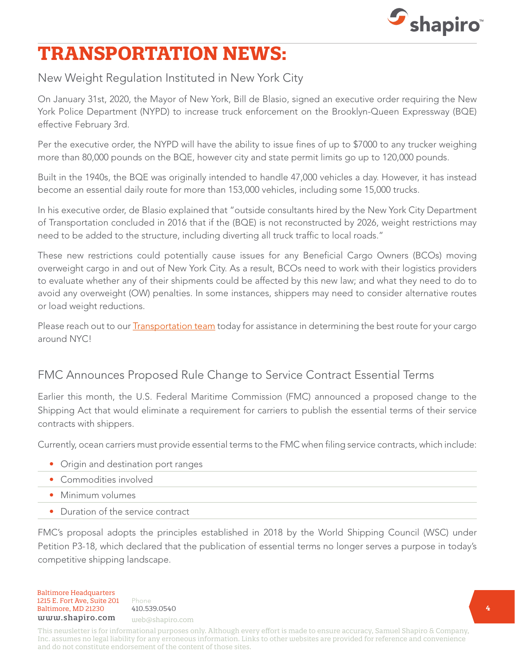

# **TRANSPORTATION NEWS:**

## New Weight Regulation Instituted in New York City

On January 31st, 2020, the Mayor of New York, Bill de Blasio, signed an executive order requiring the New York Police Department (NYPD) to increase truck enforcement on the Brooklyn-Queen Expressway (BQE) effective February 3rd.

Per the executive order, the NYPD will have the ability to issue fines of up to \$7000 to any trucker weighing more than 80,000 pounds on the BQE, however city and state permit limits go up to 120,000 pounds.

Built in the 1940s, the BQE was originally intended to handle 47,000 vehicles a day. However, it has instead become an essential daily route for more than 153,000 vehicles, including some 15,000 trucks.

In his executive order, de Blasio explained that "outside consultants hired by the New York City Department of Transportation concluded in 2016 that if the (BQE) is not reconstructed by 2026, weight restrictions may need to be added to the structure, including diverting all truck traffic to local roads."

These new restrictions could potentially cause issues for any Beneficial Cargo Owners (BCOs) moving overweight cargo in and out of New York City. As a result, BCOs need to work with their logistics providers to evaluate whether any of their shipments could be affected by this new law; and what they need to do to avoid any overweight (OW) penalties. In some instances, shippers may need to consider alternative routes or load weight reductions.

Please reach out to our **[Transportation team](mailto:mailto:web%40shapiro.com?subject=)** today for assistance in determining the best route for your cargo around NYC!

## FMC Announces Proposed Rule Change to Service Contract Essential Terms

Earlier this month, the U.S. Federal Maritime Commission (FMC) announced a proposed change to the Shipping Act that would eliminate a requirement for carriers to publish the essential terms of their service contracts with shippers.

Currently, ocean carriers must provide essential terms to the FMC when filing service contracts, which include:

- Origin and destination port ranges
- Commodities involved
- Minimum volumes
- Duration of the service contract

FMC's proposal adopts the principles established in 2018 by the World Shipping Council (WSC) under Petition P3-18, which declared that the publication of essential terms no longer serves a purpose in today's competitive shipping landscape.

Baltimore Headquarters Baltimore Headquarters<br>
1215 E. Fort Ave, Suite 201 Phone<br>
Baltimore, MD 21230 410.539.0540<br>  $\frac{1}{2}$ Baltimore, MD 21230 410.539.0540 1215 E. Fort Ave, Suite 201 www.shapiro.com web@shapiro.com

Phone **1998** 410.539.0540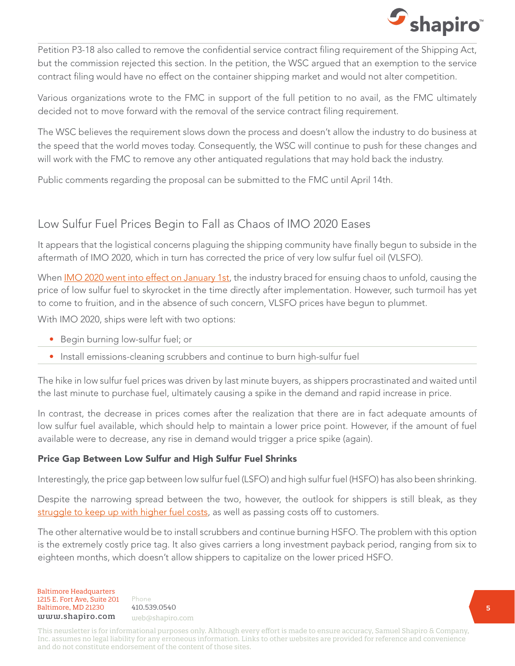

Petition P3-18 also called to remove the confidential service contract filing requirement of the Shipping Act, but the commission rejected this section. In the petition, the WSC argued that an exemption to the service contract filing would have no effect on the container shipping market and would not alter competition.

Various organizations wrote to the FMC in support of the full petition to no avail, as the FMC ultimately decided not to move forward with the removal of the service contract filing requirement.

The WSC believes the requirement slows down the process and doesn't allow the industry to do business at the speed that the world moves today. Consequently, the WSC will continue to push for these changes and will work with the FMC to remove any other antiquated regulations that may hold back the industry.

Public comments regarding the proposal can be submitted to the FMC until April 14th.

## Low Sulfur Fuel Prices Begin to Fall as Chaos of IMO 2020 Eases

It appears that the logistical concerns plaguing the shipping community have finally begun to subside in the aftermath of IMO 2020, which in turn has corrected the price of very low sulfur fuel oil (VLSFO).

When **IMO 2020 went into effect on January 1st**, the industry braced for ensuing chaos to unfold, causing the price of low sulfur fuel to skyrocket in the time directly after implementation. However, such turmoil has yet to come to fruition, and in the absence of such concern, VLSFO prices have begun to plummet.

With IMO 2020, ships were left with two options:

- Begin burning low-sulfur fuel; or
- Install emissions-cleaning scrubbers and continue to burn high-sulfur fuel

The hike in low sulfur fuel prices was driven by last minute buyers, as shippers procrastinated and waited until the last minute to purchase fuel, ultimately causing a spike in the demand and rapid increase in price.

In contrast, the decrease in prices comes after the realization that there are in fact adequate amounts of low sulfur fuel available, which should help to maintain a lower price point. However, if the amount of fuel available were to decrease, any rise in demand would trigger a price spike (again).

#### Price Gap Between Low Sulfur and High Sulfur Fuel Shrinks

Interestingly, the price gap between low sulfur fuel (LSFO) and high sulfur fuel (HSFO) has also been shrinking.

Despite the narrowing spread between the two, however, the outlook for shippers is still bleak, as they [struggle to keep up with higher fuel costs](https://www.shapiro.com/newsletters/december-2019-issue-212/#st-4), as well as passing costs off to customers.

The other alternative would be to install scrubbers and continue burning HSFO. The problem with this option is the extremely costly price tag. It also gives carriers a long investment payback period, ranging from six to eighteen months, which doesn't allow shippers to capitalize on the lower priced HSFO.

**Baltimore Headquarters**<br>**1215 E. Fort Ave, Suite 201** Phone 1215 E. Fort Ave, Suite 201 Baltimore, MD 21230 410.539.0540 baltimore, MD 21230 410.559.0540<br>www.shapiro.com <sub>web@shapiro.com</sub>

Phone 410.539.0540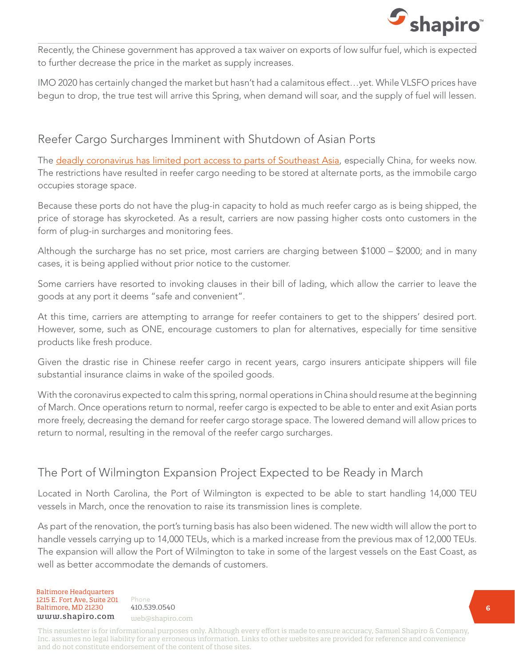

Recently, the Chinese government has approved a tax waiver on exports of low sulfur fuel, which is expected to further decrease the price in the market as supply increases.

IMO 2020 has certainly changed the market but hasn't had a calamitous effect…yet. While VLSFO prices have begun to drop, the true test will arrive this Spring, when demand will soar, and the supply of fuel will lessen.

## Reefer Cargo Surcharges Imminent with Shutdown of Asian Ports

The [deadly coronavirus has limited port access to parts of Southeast Asia,](https://www.shapiro.com/wp-content/uploads/February-2020_Shapiro-Freight-Report-Final.pdf) especially China, for weeks now. The restrictions have resulted in reefer cargo needing to be stored at alternate ports, as the immobile cargo occupies storage space.

Because these ports do not have the plug-in capacity to hold as much reefer cargo as is being shipped, the price of storage has skyrocketed. As a result, carriers are now passing higher costs onto customers in the form of plug-in surcharges and monitoring fees.

Although the surcharge has no set price, most carriers are charging between \$1000 – \$2000; and in many cases, it is being applied without prior notice to the customer.

Some carriers have resorted to invoking clauses in their bill of lading, which allow the carrier to leave the goods at any port it deems "safe and convenient".

At this time, carriers are attempting to arrange for reefer containers to get to the shippers' desired port. However, some, such as ONE, encourage customers to plan for alternatives, especially for time sensitive products like fresh produce.

Given the drastic rise in Chinese reefer cargo in recent years, cargo insurers anticipate shippers will file substantial insurance claims in wake of the spoiled goods.

With the coronavirus expected to calm this spring, normal operations in China should resume at the beginning of March. Once operations return to normal, reefer cargo is expected to be able to enter and exit Asian ports more freely, decreasing the demand for reefer cargo storage space. The lowered demand will allow prices to return to normal, resulting in the removal of the reefer cargo surcharges.

## The Port of Wilmington Expansion Project Expected to be Ready in March

Located in North Carolina, the Port of Wilmington is expected to be able to start handling 14,000 TEU vessels in March, once the renovation to raise its transmission lines is complete.

As part of the renovation, the port's turning basis has also been widened. The new width will allow the port to handle vessels carrying up to 14,000 TEUs, which is a marked increase from the previous max of 12,000 TEUs. The expansion will allow the Port of Wilmington to take in some of the largest vessels on the East Coast, as well as better accommodate the demands of customers.

Baltimore Headquarters 1215 E. Fort Ave, Suite 201  $Baltimore, MD 21230 410.539.0540$ <br>
uuuu shaniro.com www.shapiro.com web@shapiro.com

Phone the set of the set of the set of the set of the set of the set of the set of the set of the set of the s 410.539.0540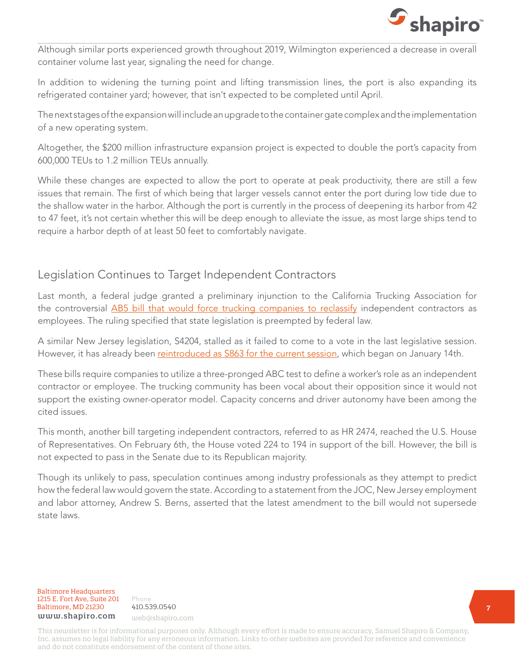

Although similar ports experienced growth throughout 2019, Wilmington experienced a decrease in overall container volume last year, signaling the need for change.

In addition to widening the turning point and lifting transmission lines, the port is also expanding its refrigerated container yard; however, that isn't expected to be completed until April.

The next stages of the expansion will include an upgrade to the container gate complex and the implementation of a new operating system.

Altogether, the \$200 million infrastructure expansion project is expected to double the port's capacity from 600,000 TEUs to 1.2 million TEUs annually.

While these changes are expected to allow the port to operate at peak productivity, there are still a few issues that remain. The first of which being that larger vessels cannot enter the port during low tide due to the shallow water in the harbor. Although the port is currently in the process of deepening its harbor from 42 to 47 feet, it's not certain whether this will be deep enough to alleviate the issue, as most large ships tend to require a harbor depth of at least 50 feet to comfortably navigate.

## Legislation Continues to Target Independent Contractors

Last month, a federal judge granted a preliminary injunction to the California Trucking Association for the controversial [AB5 bill that would force trucking companies to reclassify](https://www.shapiro.com/newsletters/november-2019-issue-211/#st-6) independent contractors as employees. The ruling specified that state legislation is preempted by federal law.

A similar New Jersey legislation, S4204, stalled as it failed to come to a vote in the last legislative session. However, it has already been [reintroduced as S863 for the current session,](https://www.shapiro.com/newsletters/january-2020-issue-213/#st-9) which began on January 14th.

These bills require companies to utilize a three-pronged ABC test to define a worker's role as an independent contractor or employee. The trucking community has been vocal about their opposition since it would not support the existing owner-operator model. Capacity concerns and driver autonomy have been among the cited issues.

This month, another bill targeting independent contractors, referred to as HR 2474, reached the U.S. House of Representatives. On February 6th, the House voted 224 to 194 in support of the bill. However, the bill is not expected to pass in the Senate due to its Republican majority.

Though its unlikely to pass, speculation continues among industry professionals as they attempt to predict how the federal law would govern the state. According to a statement from the JOC, New Jersey employment and labor attorney, Andrew S. Berns, asserted that the latest amendment to the bill would not supersede state laws.

Baltimore Headquarters 1215 E. Fort Ave, Suite 201 Baltimore, MD 21230<br>Haltimore, MD 21230 410.539.0540 www.shapiro.com web@shapiro.com

Phone 410.539.0540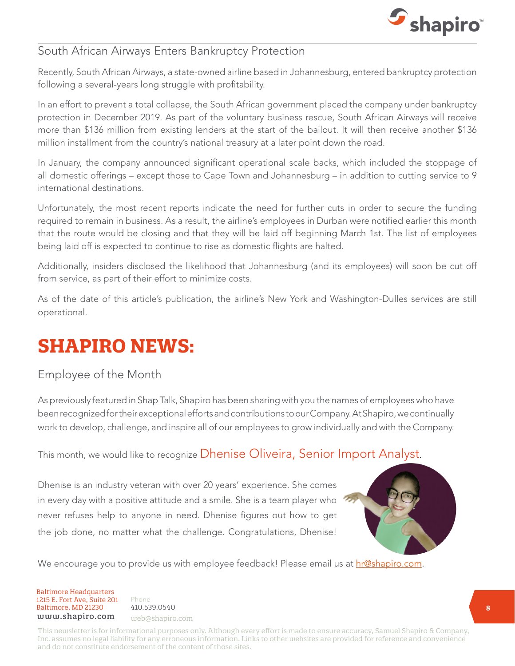

### South African Airways Enters Bankruptcy Protection

Recently, South African Airways, a state-owned airline based in Johannesburg, entered bankruptcy protection following a several-years long struggle with profitability.

In an effort to prevent a total collapse, the South African government placed the company under bankruptcy protection in December 2019. As part of the voluntary business rescue, South African Airways will receive more than \$136 million from existing lenders at the start of the bailout. It will then receive another \$136 million installment from the country's national treasury at a later point down the road.

In January, the company announced significant operational scale backs, which included the stoppage of all domestic offerings – except those to Cape Town and Johannesburg – in addition to cutting service to 9 international destinations.

Unfortunately, the most recent reports indicate the need for further cuts in order to secure the funding required to remain in business. As a result, the airline's employees in Durban were notified earlier this month that the route would be closing and that they will be laid off beginning March 1st. The list of employees being laid off is expected to continue to rise as domestic flights are halted.

Additionally, insiders disclosed the likelihood that Johannesburg (and its employees) will soon be cut off from service, as part of their effort to minimize costs.

As of the date of this article's publication, the airline's New York and Washington-Dulles services are still operational.

# **SHAPIRO NEWS:**

## Employee of the Month

As previously featured in Shap Talk, Shapiro has been sharing with you the names of employees who have been recognized for their exceptional efforts and contributions to our Company. At Shapiro, we continually work to develop, challenge, and inspire all of our employees to grow individually and with the Company.

This month, we would like to recognize Dhenise Oliveira, Senior Import Analyst.

Dhenise is an industry veteran with over 20 years' experience. She comes in every day with a positive attitude and a smile. She is a team player who never refuses help to anyone in need. Dhenise figures out how to get the job done, no matter what the challenge. Congratulations, Dhenise!



We encourage you to provide us with employee feedback! Please email us at [hr@shapiro.com.](mailto:hr%40shapiro.com?subject=)

Baltimore Headquarters 1215 E. Fort Ave, Suite 201  $Baltimore, MD 21230 410.539.0540$ <br>
uuuu shaniro.com www.shapiro.com web@shapiro.com

Phone the set of the set of the set of the set of the set of the set of the set of the set of the set of the set of the set of the set of the set of the set of the set of the set of the set of the set of the set of the set 410.539.0540